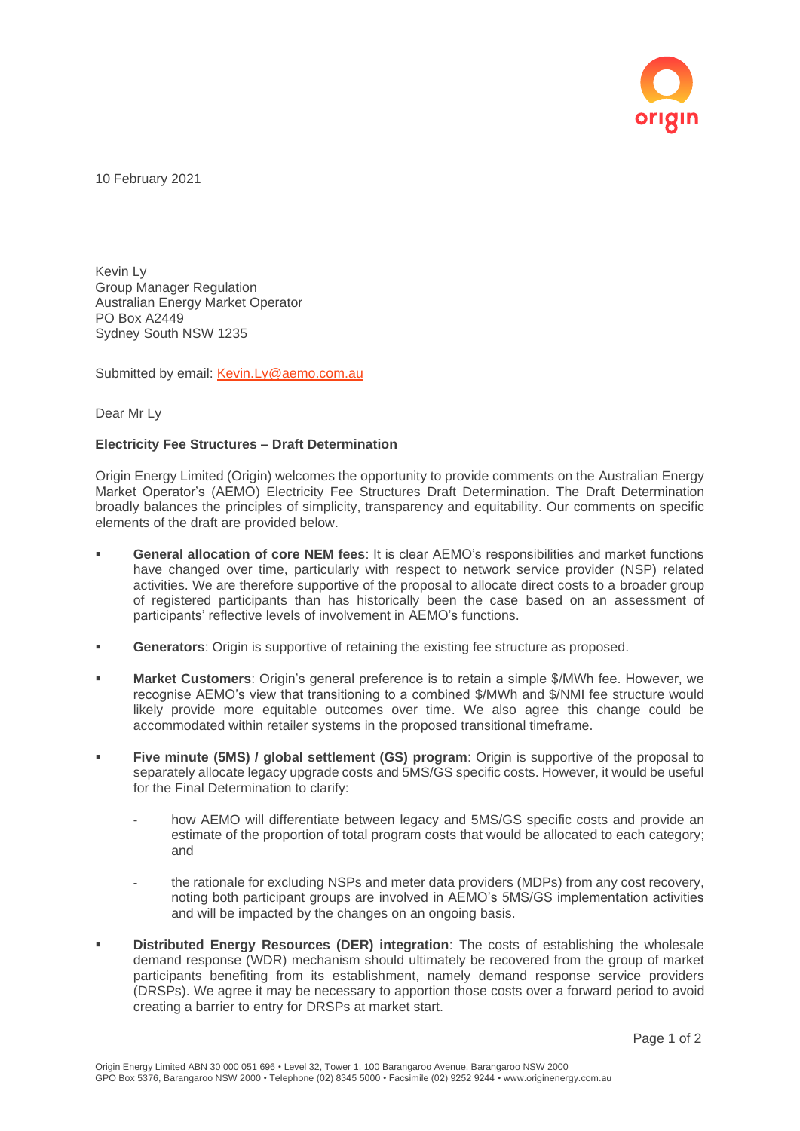

10 February 2021

Kevin Ly Group Manager Regulation Australian Energy Market Operator PO Box A2449 Sydney South NSW 1235

Submitted by email: [Kevin.Ly@aemo.com.au](mailto:Kevin.Ly@aemo.com.au)

Dear Mr Ly

## **Electricity Fee Structures – Draft Determination**

Origin Energy Limited (Origin) welcomes the opportunity to provide comments on the Australian Energy Market Operator's (AEMO) Electricity Fee Structures Draft Determination. The Draft Determination broadly balances the principles of simplicity, transparency and equitability. Our comments on specific elements of the draft are provided below.

- **General allocation of core NEM fees:** It is clear AEMO's responsibilities and market functions have changed over time, particularly with respect to network service provider (NSP) related activities. We are therefore supportive of the proposal to allocate direct costs to a broader group of registered participants than has historically been the case based on an assessment of participants' reflective levels of involvement in AEMO's functions.
- **Generators**: Origin is supportive of retaining the existing fee structure as proposed.
- **Market Customers**: Origin's general preference is to retain a simple \$/MWh fee. However, we recognise AEMO's view that transitioning to a combined \$/MWh and \$/NMI fee structure would likely provide more equitable outcomes over time. We also agree this change could be accommodated within retailer systems in the proposed transitional timeframe.
- **Five minute (5MS) / global settlement (GS) program:** Origin is supportive of the proposal to separately allocate legacy upgrade costs and 5MS/GS specific costs. However, it would be useful for the Final Determination to clarify:
	- how AEMO will differentiate between legacy and 5MS/GS specific costs and provide an estimate of the proportion of total program costs that would be allocated to each category; and
	- the rationale for excluding NSPs and meter data providers (MDPs) from any cost recovery, noting both participant groups are involved in AEMO's 5MS/GS implementation activities and will be impacted by the changes on an ongoing basis.
- **Distributed Energy Resources (DER) integration**: The costs of establishing the wholesale demand response (WDR) mechanism should ultimately be recovered from the group of market participants benefiting from its establishment, namely demand response service providers (DRSPs). We agree it may be necessary to apportion those costs over a forward period to avoid creating a barrier to entry for DRSPs at market start.